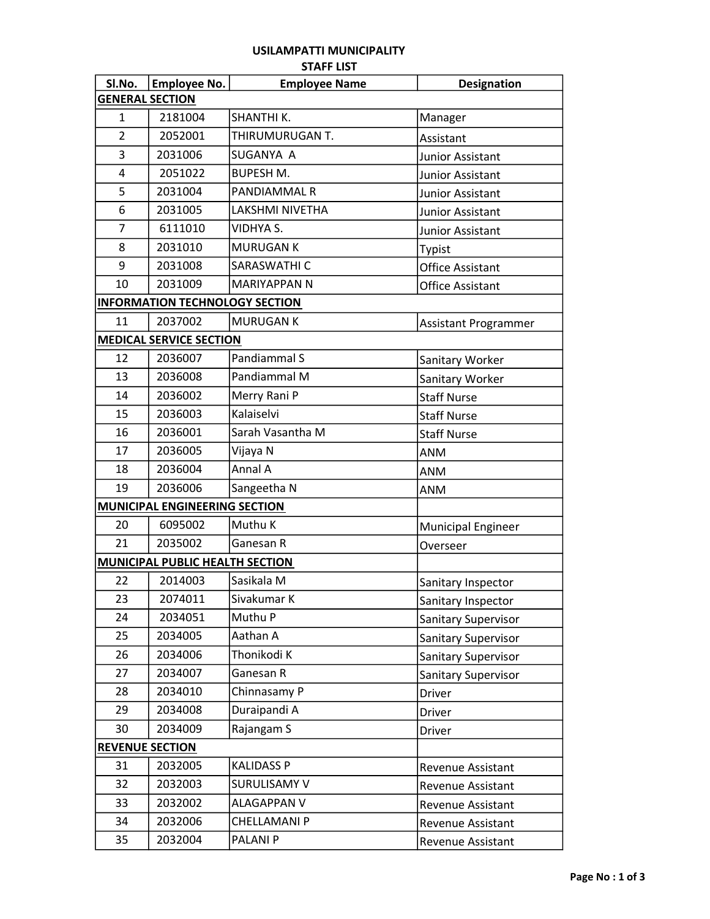## USILAMPATTI MUNICIPALITY STAFF LIST

| Sl.No.                          | Employee No.                          | <b>Employee Name</b> | <b>Designation</b>         |  |  |  |
|---------------------------------|---------------------------------------|----------------------|----------------------------|--|--|--|
| <b>GENERAL SECTION</b>          |                                       |                      |                            |  |  |  |
| $\mathbf{1}$                    | 2181004                               | SHANTHI K.           | Manager                    |  |  |  |
| $\overline{2}$                  | 2052001                               | THIRUMURUGAN T.      | Assistant                  |  |  |  |
| 3                               | 2031006                               | SUGANYA A            | Junior Assistant           |  |  |  |
| 4                               | 2051022                               | <b>BUPESH M.</b>     | Junior Assistant           |  |  |  |
| 5                               | 2031004                               | PANDIAMMAL R         | Junior Assistant           |  |  |  |
| 6                               | 2031005                               | LAKSHMI NIVETHA      | Junior Assistant           |  |  |  |
| $\overline{7}$                  | 6111010                               | VIDHYA S.            | Junior Assistant           |  |  |  |
| 8                               | 2031010                               | <b>MURUGAN K</b>     | Typist                     |  |  |  |
| 9                               | 2031008                               | SARASWATHI C         | <b>Office Assistant</b>    |  |  |  |
| 10                              | 2031009                               | MARIYAPPAN N         | <b>Office Assistant</b>    |  |  |  |
|                                 | <b>INFORMATION TECHNOLOGY SECTION</b> |                      |                            |  |  |  |
| 11                              | 2037002                               | <b>MURUGAN K</b>     | Assistant Programmer       |  |  |  |
|                                 | <b>MEDICAL SERVICE SECTION</b>        |                      |                            |  |  |  |
| 12                              | 2036007                               | Pandiammal S         | Sanitary Worker            |  |  |  |
| 13                              | 2036008                               | Pandiammal M         | Sanitary Worker            |  |  |  |
| 14                              | 2036002                               | Merry Rani P         | <b>Staff Nurse</b>         |  |  |  |
| 15                              | 2036003                               | Kalaiselvi           | <b>Staff Nurse</b>         |  |  |  |
| 16                              | 2036001                               | Sarah Vasantha M     | <b>Staff Nurse</b>         |  |  |  |
| 17                              | 2036005                               | Vijaya N             | <b>ANM</b>                 |  |  |  |
| 18                              | 2036004                               | Annal A              | <b>ANM</b>                 |  |  |  |
| 19                              | 2036006                               | Sangeetha N          | <b>ANM</b>                 |  |  |  |
|                                 | <b>MUNICIPAL ENGINEERING SECTION</b>  |                      |                            |  |  |  |
| 20                              | 6095002                               | Muthu K              | <b>Municipal Engineer</b>  |  |  |  |
| 21                              | 2035002                               | Ganesan R            | Overseer                   |  |  |  |
| MUNICIPAL PUBLIC HEALTH SECTION |                                       |                      |                            |  |  |  |
| 22                              | 2014003                               | Sasikala M           | Sanitary Inspector         |  |  |  |
| 23                              | 2074011                               | Sivakumar K          | Sanitary Inspector         |  |  |  |
| 24                              | 2034051                               | Muthu P              | <b>Sanitary Supervisor</b> |  |  |  |
| 25                              | 2034005                               | Aathan A             | Sanitary Supervisor        |  |  |  |
| 26                              | 2034006                               | Thonikodi K          | Sanitary Supervisor        |  |  |  |
| 27                              | 2034007                               | Ganesan R            | Sanitary Supervisor        |  |  |  |
| 28                              | 2034010                               | Chinnasamy P         | <b>Driver</b>              |  |  |  |
| 29                              | 2034008                               | Duraipandi A         | <b>Driver</b>              |  |  |  |
| 30                              | 2034009                               | Rajangam S           | Driver                     |  |  |  |
|                                 | <b>REVENUE SECTION</b>                |                      |                            |  |  |  |
| 31                              | 2032005                               | <b>KALIDASS P</b>    | Revenue Assistant          |  |  |  |
| 32                              | 2032003                               | SURULISAMY V         | Revenue Assistant          |  |  |  |
| 33                              | 2032002                               | <b>ALAGAPPAN V</b>   | Revenue Assistant          |  |  |  |
| 34                              | 2032006                               | <b>CHELLAMANI P</b>  | Revenue Assistant          |  |  |  |
| 35                              | 2032004                               | PALANI P             | Revenue Assistant          |  |  |  |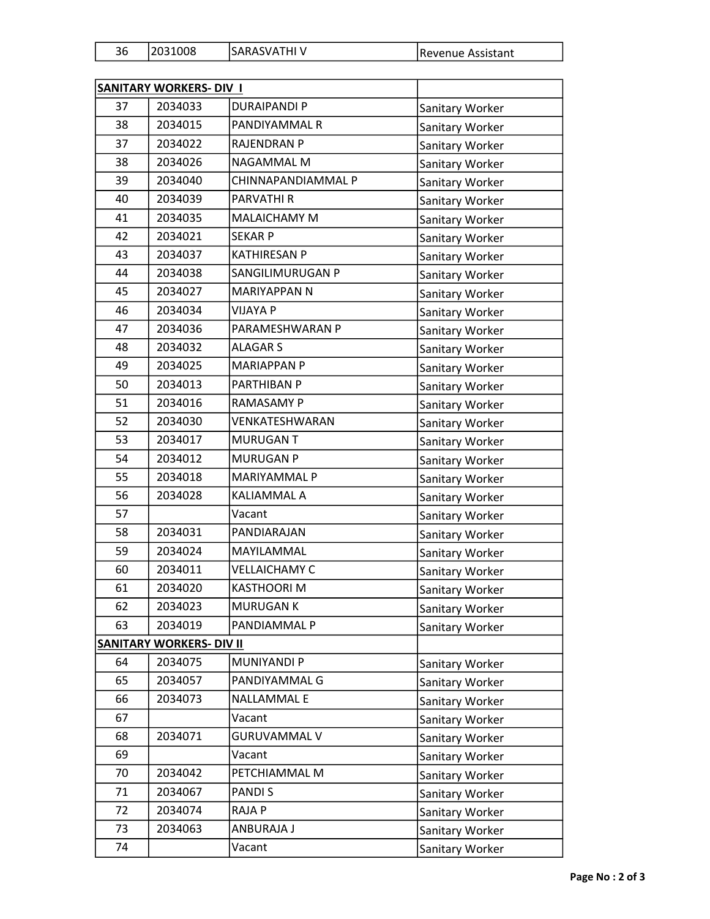| 12031008 | ISARASVATHI V | Revenue Assistant |
|----------|---------------|-------------------|
|          |               |                   |

| <b>SANITARY WORKERS- DIV I</b> |                                 |                      |                 |  |  |  |  |
|--------------------------------|---------------------------------|----------------------|-----------------|--|--|--|--|
| 37                             | 2034033                         | DURAIPANDI P         | Sanitary Worker |  |  |  |  |
| 38                             | 2034015                         | PANDIYAMMAL R        | Sanitary Worker |  |  |  |  |
| 37                             | 2034022                         | <b>RAJENDRAN P</b>   | Sanitary Worker |  |  |  |  |
| 38                             | 2034026                         | NAGAMMAL M           | Sanitary Worker |  |  |  |  |
| 39                             | 2034040                         | CHINNAPANDIAMMAL P   | Sanitary Worker |  |  |  |  |
| 40                             | 2034039                         | <b>PARVATHIR</b>     | Sanitary Worker |  |  |  |  |
| 41                             | 2034035                         | <b>MALAICHAMY M</b>  | Sanitary Worker |  |  |  |  |
| 42                             | 2034021                         | <b>SEKARP</b>        | Sanitary Worker |  |  |  |  |
| 43                             | 2034037                         | <b>KATHIRESAN P</b>  | Sanitary Worker |  |  |  |  |
| 44                             | 2034038                         | SANGILIMURUGAN P     | Sanitary Worker |  |  |  |  |
| 45                             | 2034027                         | MARIYAPPAN N         | Sanitary Worker |  |  |  |  |
| 46                             | 2034034                         | <b>VIJAYA P</b>      | Sanitary Worker |  |  |  |  |
| 47                             | 2034036                         | PARAMESHWARAN P      | Sanitary Worker |  |  |  |  |
| 48                             | 2034032                         | <b>ALAGAR S</b>      | Sanitary Worker |  |  |  |  |
| 49                             | 2034025                         | <b>MARIAPPAN P</b>   | Sanitary Worker |  |  |  |  |
| 50                             | 2034013                         | PARTHIBAN P          | Sanitary Worker |  |  |  |  |
| 51                             | 2034016                         | RAMASAMY P           | Sanitary Worker |  |  |  |  |
| 52                             | 2034030                         | VENKATESHWARAN       | Sanitary Worker |  |  |  |  |
| 53                             | 2034017                         | <b>MURUGANT</b>      | Sanitary Worker |  |  |  |  |
| 54                             | 2034012                         | <b>MURUGAN P</b>     | Sanitary Worker |  |  |  |  |
| 55                             | 2034018                         | MARIYAMMAL P         | Sanitary Worker |  |  |  |  |
| 56                             | 2034028                         | KALIAMMAL A          | Sanitary Worker |  |  |  |  |
| 57                             |                                 | Vacant               | Sanitary Worker |  |  |  |  |
| 58                             | 2034031                         | PANDIARAJAN          | Sanitary Worker |  |  |  |  |
| 59                             | 2034024                         | MAYILAMMAL           | Sanitary Worker |  |  |  |  |
| 60                             | 2034011                         | <b>VELLAICHAMY C</b> | Sanitary Worker |  |  |  |  |
| 61                             | 2034020                         | <b>KASTHOORI M</b>   | Sanitary Worker |  |  |  |  |
| 62                             | 2034023                         | <b>MURUGAN K</b>     | Sanitary Worker |  |  |  |  |
| 63                             | 2034019                         | PANDIAMMAL P         | Sanitary Worker |  |  |  |  |
|                                | <b>SANITARY WORKERS- DIV II</b> |                      |                 |  |  |  |  |
| 64                             | 2034075                         | <b>MUNIYANDI P</b>   | Sanitary Worker |  |  |  |  |
| 65                             | 2034057                         | PANDIYAMMAL G        | Sanitary Worker |  |  |  |  |
| 66                             | 2034073                         | <b>NALLAMMAL E</b>   | Sanitary Worker |  |  |  |  |
| 67                             |                                 | Vacant               | Sanitary Worker |  |  |  |  |
| 68                             | 2034071                         | <b>GURUVAMMAL V</b>  | Sanitary Worker |  |  |  |  |
| 69                             |                                 | Vacant               | Sanitary Worker |  |  |  |  |
| 70                             | 2034042                         | PETCHIAMMAL M        | Sanitary Worker |  |  |  |  |
| 71                             | 2034067                         | <b>PANDIS</b>        | Sanitary Worker |  |  |  |  |
| 72                             | 2034074                         | RAJA P               | Sanitary Worker |  |  |  |  |
| 73                             | 2034063                         | ANBURAJA J           | Sanitary Worker |  |  |  |  |
| 74                             |                                 | Vacant               | Sanitary Worker |  |  |  |  |